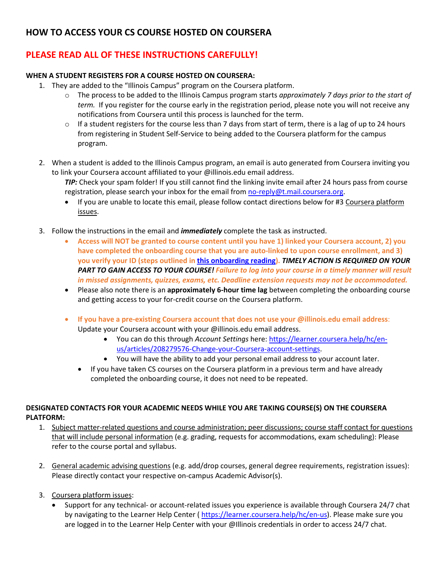## **HOW TO ACCESS YOUR CS COURSE HOSTED ON COURSERA**

# **PLEASE READ ALL OF THESE INSTRUCTIONS CAREFULLY!**

### **WHEN A STUDENT REGISTERS FOR A COURSE HOSTED ON COURSERA:**

- 1. They are added to the "Illinois Campus" program on the Coursera platform.
	- o The process to be added to the Illinois Campus program starts *approximately 7 days prior to the start of term.* If you register for the course early in the registration period, please note you will not receive any notifications from Coursera until this process is launched for the term.
	- $\circ$  If a student registers for the course less than 7 days from start of term, there is a lag of up to 24 hours from registering in Student Self-Service to being added to the Coursera platform for the campus program.
- 2. When a student is added to the Illinois Campus program, an email is auto generated from Coursera inviting you to link your Coursera account affiliated to your @illinois.edu email address.

*TIP:* Check your spam folder! If you still cannot find the linking invite email after 24 hours pass from course registration, please search your inbox for the email fro[m no-reply@t.mail.coursera.org.](mailto:no-reply@t.mail.coursera.org)

- If you are unable to locate this email, please follow contact directions below for #3 Coursera platform issues.
- 3. Follow the instructions in the email and *immediately* complete the task as instructed.
	- **Access will NOT be granted to course content until you have 1) linked your Coursera account, 2) you have completed the onboarding course that you are auto-linked to upon course enrollment, and 3) you verify your ID (steps outlined i[n this onboarding reading\)](https://urldefense.com/v3/__https:/www.coursera.org/learn/illinois-oncampus-onboarding/supplement/yi5EW/coursera-account-confirm-login__;!!DZ3fjg!pPdkIndWN37qfPsJMlvMdDPoDqb15miPT8V5rOyga2VbxqcFYsdiy6Q3DNEUpOvAn_I$).** *TIMELY ACTION IS REQUIRED ON YOUR PART TO GAIN ACCESS TO YOUR COURSE! Failure to log into your course in a timely manner will result in missed assignments, quizzes, exams, etc. Deadline extension requests may not be accommodated.*
	- Please also note there is an **approximately 6-hour time lag** between completing the onboarding course and getting access to your for-credit course on the Coursera platform.
	- **If you have a pre-existing Coursera account that does not use your @illinois.edu email address**: Update your Coursera account with your @illinois.edu email address.
		- You can do this through *Account Settings* here[: https://learner.coursera.help/hc/en](https://urldefense.proofpoint.com/v2/url?u=https-3A__learner.coursera.help_hc_en-2Dus_articles_208279576-2DChange-2Dyour-2DCoursera-2Daccount-2Dsettings&d=DwMCAg&c=OCIEmEwdEq_aNlsP4fF3gFqSN-E3mlr2t9JcDdfOZag&r=WRhyt2_GNT4HdDt4sV3hCdNUB4jG-8IkhAyXsOnHhXA&m=vfPKi9csLGS1WJheyK1yES0Lidz65dtBbM9q8wewCv0&s=oqwotWvYfdZgabVSPUaZQRlXeLdASMn_N6h731-a5As&e=)[us/articles/208279576-Change-your-Coursera-account-settings.](https://urldefense.proofpoint.com/v2/url?u=https-3A__learner.coursera.help_hc_en-2Dus_articles_208279576-2DChange-2Dyour-2DCoursera-2Daccount-2Dsettings&d=DwMCAg&c=OCIEmEwdEq_aNlsP4fF3gFqSN-E3mlr2t9JcDdfOZag&r=WRhyt2_GNT4HdDt4sV3hCdNUB4jG-8IkhAyXsOnHhXA&m=vfPKi9csLGS1WJheyK1yES0Lidz65dtBbM9q8wewCv0&s=oqwotWvYfdZgabVSPUaZQRlXeLdASMn_N6h731-a5As&e=)
		- You will have the ability to add your personal email address to your account later.
		- If you have taken CS courses on the Coursera platform in a previous term and have already completed the onboarding course, it does not need to be repeated.

#### **DESIGNATED CONTACTS FOR YOUR ACADEMIC NEEDS WHILE YOU ARE TAKING COURSE(S) ON THE COURSERA PLATFORM:**

- 1. Subject matter-related questions and course administration; peer discussions; course staff contact for questions that will include personal information (e.g. grading, requests for accommodations, exam scheduling): Please refer to the course portal and syllabus.
- 2. General academic advising questions (e.g. add/drop courses, general degree requirements, registration issues): Please directly contact your respective on-campus Academic Advisor(s).
- 3. Coursera platform issues:
	- Support for any technical- or account-related issues you experience is available through Coursera 24/7 chat by navigating to the Learner Help Center (https://learner.coursera.help/hc/en-us). Please make sure you are logged in to the Learner Help Center with your @Illinois credentials in order to access 24/7 chat.